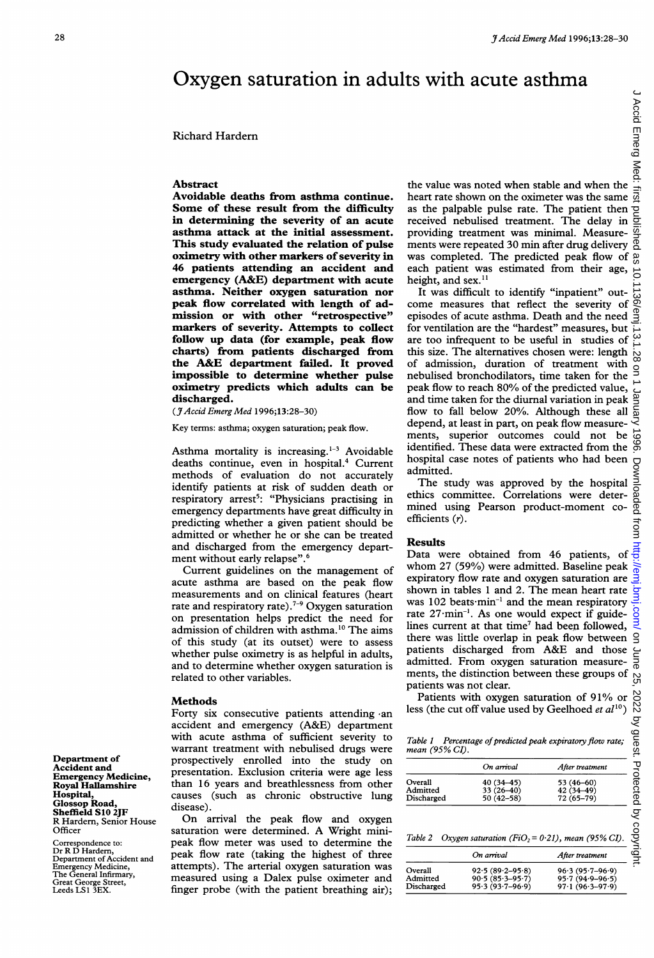# Oxygen saturation in adults with acute asthma

Richard Hardern

asthma attack at the initial assessment. providing treatment was minimal. Measure-This study evaluated the relation of pulse ments were repeated 30 min after drug delivery oximetry with other markers of severity in was completed. The predicted peak flow of 46 patients attending an accident and each patient was estimated from their age, emergency  $(A&E)$  department with acute height, and sex.<sup>11</sup> emergency (A&E) department with acute height, and sex.<sup>11</sup><br>asthma. Neither oxygen saturation nor It was difficult to identify "inpatient" outasthma. Neither oxygen saturation nor markers of severity. Attempts to collect for ventilation are the "hardest" measures, but follow up data (for example, peak flow are too infrequent to be useful in studies of the A&E department failed. It proved of admission, duration of treatment with impossible to determine whether pulse nebulised bronchodilators, time taken for the impossible to determine whether pulse oximetry predicts which adults can be peak flow to reach 80% of the predicted value, discharged. and time taken for the diurnal variation in peak

deaths continue, even in hospital.<sup>4</sup> Current hospital case not patients who had been admitted. methods of evaluation do not accurately admitted.<br>identify patients at risk of sudden death or The study was approved by the hospital identify patients at risk of sudden death or The study was approved by the hospital<br>respiratory great<sup>5</sup>: "Dhysicians proctising in ethics committee. Correlations were deterrespiratory arrest<sup>5</sup>: "Physicians practising in ethics committee. Correlations were deter-<br>emergency departments have great difficulty in mined using Pearson product-moment coemergency departments have great difficulty in  $\frac{\text{mined}}{\text{emced}}$  using predicting whether a given period chould be efficients  $(r)$ . predicting whether a given patient should be admitted or whether he or she can be treated and discharged from the emergency depart-

Current guidelines on the management of acute asthma are based on the peak flow expiratory now rate and oxygen saturation are<br>measurements and on clinical features (beart) shown in tables 1 and 2. The mean heart rate measurements and on clinical features (heart shown in tables 1 and 2. The mean heart rate<br>rate and respiratory rate)  $7-9$  Oxygen saturation was 102 beats min<sup>-1</sup> and the mean respiratory rate and respiratory rate).<sup>7-9</sup> Oxygen saturation was  $102$  beats min<sup>-1</sup> and the mean respiratory<br>on presentation helps predict the need for rate  $27 \text{ min}^{-1}$ . As one would expect if guideon presentation helps predict the need for  $\frac{\text{rate } 27 \text{ min}}{\text{lines}}$ . As one would expect if guide-<br>admission of children with asthma <sup>10</sup> The aims current at that time<sup>7</sup> had been followed, admission of children with asthma.<sup>10</sup> The aims lines current at that time' had been followed,<br>of this study (at its quiset) were to assess there was little overlap in peak flow between of this study (at its outset) were to assess there was little overlap in peak flow between<br>whether pulse ovimetry is as beloful in adults patients discharged from A&E and those whether pulse oximetry is as helpful in adults, patients discharged from A&E and those<br>and to determine whether oxigen seturation is admitted. From oxygen saturation measureand to determine whether oxygen saturation is related to other variables.

Forty six consecutive patients attending an less (the cut off value used by Geelhoed et all ')<br>
with active asthma of sufficient severity to<br>
with active and functions were<br>
prospectively enrolled into the study on<br>
prese accident and emergency (A&E) department with acute asthma of sufficient severity to  $Table 1$  Percentage of predicted peak expiratory flow rate; warrant treatment with nebulised drugs were mean (95% CI). Department of prospectively enrolled into the study on Accident and Accident and interest presentation. Exclusion criteria were age less Emergency Medicine, **Example 10** and the state of the Royal Hallamshire than 16 years and breathlessness from other Hospital, causes (such as chronic obstructive lung

RHardern, Senior House On arrival the peak flow and oxygen<br>Officer saturation were determined. A Wright minisaturation were determined. A Wright mini-Correspondence to:  $\frac{\text{Satuation of WCC determinant of A will be a model to determine the corresponding number of values.} }{\text{OrR D'R D'Hardern,}}$  Table 2 Oxygen saturation (FiO<sub>2</sub> = 0.21), mean (95% CI). Dr R D Hardern, opeak flow rate (taking the highest of three Department of Accident and peak flow rate (taking the highest of three Emergency Medicine, Emergency Medicine, and attempts). The arterial oxygen saturation was The General Infimary, measured using a Dalex pulse oximeter and Geat Gorge Street, finger probe (with the patient breathing air); measured using a Dalex pulse oximeter and finger probe (with the patient breathing air);

Abstract the value was noted when stable and when the value was noted when stable and when the Avoidable deaths from asthma continue. heart rate shown on the oximeter was the same Some of these result from the difficulty as the palpable pulse rate. The patient then  $\overrightarrow{P}$  in determining the severity of an acute received nebulised treatment. The delay in  $\overrightarrow{P}$ received nebulised treatment. The delay in

**asthma.** Neither oxygen saturation nor<br>
peak flow correlated with length of ad-<br>
come measures that reflect the severity of  $\frac{1}{\infty}$ <br>
mission or with other "retrospective" episodes of acute asthma. Death and the need episodes of acute asthma. Death and the need charts) from patients discharged from this size. The alternatives chosen were: length  $\frac{1}{\infty}$  $(3)$  Accid Emerg Med 1996;13:28-30) flow to fall below 20%. Although these all Key terms: asthma; oxygen saturation; peak flow. depend, at least in part, on peak flow measure-<br>ments, superior outcomes could not be ments, superior outcomes could not be  $\vec{\omega}$  identified. These data were extracted from the  $\vec{\omega}$ Asthma mortality is increasing.<sup>1-3</sup> Avoidable identified. These data were extracted from the deaths continue even in hospital  $\frac{4}{3}$  Current hospital case notes of patients who had been

ment without early relapse".<sup>6</sup><br>
Current grade without early relapse".<sup>6</sup><br>
Current guidelines on the management of whom 27 (59%) were admitted. Baseline peak  $\frac{8}{9}$ <br>
acute asthma are based on the peak flow expiratory f ments, the distinction between these groups of patients was not clear.

Methods<br>
Methods<br>
Methods **Patients** of 91% or<br>
Rorty six consecutive patients attending an less (the cut off value used by Geelhoed *et al*<sup>10</sup>)

|            | On arrival    | After treatment |  |
|------------|---------------|-----------------|--|
| Overall    | 40 (34-45)    | 53 (46-60)      |  |
| Admitted   | $33(26-40)$   | $42(34 - 49)$   |  |
| Discharged | $50(42 - 58)$ | $72(65 - 79)$   |  |

| On arrival                                 | After treatment                          |                     |  |
|--------------------------------------------|------------------------------------------|---------------------|--|
| $92.5(89.2 - 95.8)$<br>$90.5(85.3 - 95.7)$ | $96.3(95.7-96.9)$<br>$95.7(94.9 - 96.5)$ |                     |  |
|                                            | $95.3(93.7 - 96.9)$                      | $97.1(96.3 - 97.9)$ |  |

riospital, causes<br>Glossop Road, disease)<br>Sheffield S10 2JF (Dr.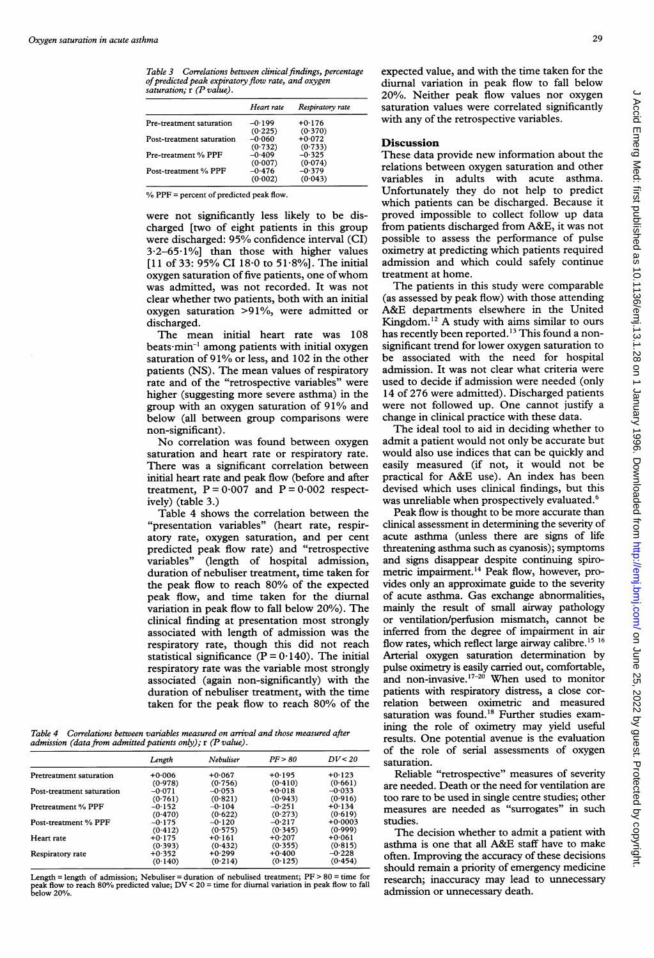|                           | Heart rate | Respiratory rate |
|---------------------------|------------|------------------|
| Pre-treatment saturation  | $-0.199$   | $+0.176$         |
|                           | (0.225)    | (0.370)          |
| Post-treatment saturation | $-0.060$   | $+0.072$         |
|                           | (0.732)    | (0.733)          |
| Pre-treatment % PPF       | $-0.409$   | $-0.325$         |
|                           | (0.007)    | (0.074)          |
| Post-treatment % PPF      | $-0.476$   | $-0.379$         |
|                           | (0.002)    | (0.043)          |

charged [two of eight patients in this group from patients discharged from A&E, it was not were discharged: 95% confidence interval (CI) possible to assess the performance of pulse 3.2–65.1% than those with higher values oximetry at predicting which patients required  $3.2-65.1\%$ ] than those with higher values oximetry at predicting which patients required [11 of 33: 95% CI 18.0 to 51.8%]. The initial admission and which could safely continue [11 of 33:  $95\%$  CI 18 $\cdot$ 0 to 51 $\cdot$ 8%]. The initial admission and whox oxygen saturation of five patients, one of whom treatment at home. oxygen saturation of five patients, one of whom treatment at home.<br>was admitted, was not recorded. It was not The patients in this study were comparable was admitted, was not recorded. It was not The patients in this study were comparable<br>clear whether two patients, both with an initial (as assessed by peak flow) with those attending clear whether two patients, both with an initial (as assessed by peak flow) with those attending oxygen saturation  $>91\%$ , were admitted or A&E departments elsewhere in the United oxygen saturation  $>91\%$ , were admitted or discharged. **Kingdom.**<sup>12</sup> A study with aims similar to ours

beats min<sup>-1</sup> among patients with initial oxygen significant trend for lower oxygen saturation to saturation of  $91\%$  or less, and  $102$  in the other be associated with the need for hospital saturation of 91% or less, and 102 in the other be associated with the need for hospital patients (NS). The mean values of respiratory admission. It was not clear what criteria were patients (NS). The mean values of respiratory admission. It was not clear what criteria were rate and of the "retrospective variables" were used to decide if admission were needed (only higher (suggesting more severe asthma) in the 14 of 276 were admitted). Discharged patients higher (suggesting more severe asthma) in the 14 of 276 were admitted). Discharged patients group with an oxygen saturation of 91% and were not followed up. One cannot justify a group with an oxygen saturation of  $91\%$  and were not followed up. One cannot just below (all between group comparisons were change in clinical practice with these data. below (all between group comparisons were

saturation and heart rate or respiratory rate. There was a significant correlation between easily measured (if not, it would not be initial heart rate and peak flow (before and after practical for A&E use). An index has been initial heart rate and peak flow (before and after practical for  $A\&E$  use). An index has been treatment,  $P = 0.007$  and  $P = 0.002$  respect- devised which uses clinical findings, but this treatment,  $P = 0.007$  and  $P = 0.002$  respectively) (table 3.)<br>Table 4 shows the correlation between the Peak flow is thought to be more accurate than

"presentation variables" (heart rate, respir- clinical assessment in determining the severity of atory rate, oxygen saturation, and per cent acute asthma (unless there are signs of life predicted peak flow rate) and "retrospective threatening asthma such as cyanosis); symptoms predicted peak flow rate) and "retrospective threatening asthma such as cyanosis); symptoms variables" (length of hospital admission, and signs disappear despite continuing spiroduration of nebuliser treatment, time taken for metric impairment.<sup>14</sup> Peak flow, however, pro-<br>the peak flow to reach 80% of the expected vides only an approximate guide to the severity peak flow, and time taken for the diurnal of acute asthma. Gas exchange abnormalities, variation in peak flow to fall below 20%). The mainly the result of small airway pathology clinical finding at presentation most strongly or ventilation/perfusion mismatch, cannot be clinical finding at presentation most strongly or ventilation/perfusion mismatch, cannot be associated with length of admission was the inferred from the degree of impairment in air respiratory rate, though this did not reach flow rates, which reflect large airway calibre.<sup>15 16</sup> respiratory rate, though this did not reach flow rates, which reflect large airway calibre.<sup>15 16</sup> statistical significance ( $P = 0.140$ ). The initial Arterial oxygen saturation determination by statistical significance ( $P = 0.140$ ). The initial respiratory rate was the variable most strongly pulse oximetry is easily carried out, comfortable, associated (again non-significantly) with the and non-invasive.<sup>17-20</sup> When used to monitor duration of nebuliser treatment, with the time patients with respiratory distress, a close corduration of nebuliser treatment, with the time patients with respiratory distress, a close cor-<br>taken for the peak flow to reach 80% of the relation between oximetric and measured taken for the peak flow to reach 80% of the

Table 4 Correlations between variables measured on arrival and those measured after admission (data from admitted patients only);  $r$  (P value).

|                           | Length   | Nebuliser | PF > 80  | DV < 20   | or ure<br>saturati |
|---------------------------|----------|-----------|----------|-----------|--------------------|
| Pretreatment saturation   | $+0.006$ | $+0.067$  | $+0.195$ | $+0.123$  | Relia              |
|                           | (0.978)  | (0.756)   | (0.410)  | (0.661)   | are need           |
| Post-treatment saturation | $-0.071$ | $-0.053$  | $+0.018$ | $-0.033$  |                    |
|                           | (0.761)  | (0.821)   | (0.943)  | (0.916)   | too rare           |
| Pretreatment % PPF        | $-0.152$ | $-0.104$  | $-0.251$ | $+0.134$  | measur             |
|                           | (0.470)  | (0.622)   | (0.273)  | (0.619)   |                    |
| Post-treatment % PPF      | $-0.175$ | $-0.120$  | $-0.217$ | $+0.0003$ | studies.           |
|                           | (0.412)  | (0.575)   | (0.345)  | (0.999)   | $\rm The$          |
| Heart rate                | $+0.175$ | $+0.161$  | $+0.207$ | $+0.061$  |                    |
|                           | (0.393)  | (0.432)   | (0.355)  | (0.815)   | asthma             |
| Respiratory rate          | $+0.352$ | $+0.299$  | $+0.400$ | $-0.228$  | often. I:          |
|                           | (0.140)  | (0.214)   | (0.125)  | (0.454)   |                    |

Length = length of admission; Nebuliser = duration of nebulised treatment;  $PF > 80$  = time for<br>peak flow to reach 80% predicted value;  $DV < 20$  = time for diurnal variation in peak flow to fall<br>below 20%.<br>admission or unnec

Table 3 Correlations between clinical findings, percentage expected value, and with the time taken for the of predicted peak expiratory flow rate, and oxygen diurnal variation in peak flow to fall below<br>saturation,  $r(P value)$ . 20%. Neither peak flow values nor oxygen saturation values were correlated significantly with any of the retrospective variables.

### **Discussion**

These data provide new information about the relations between oxygen saturation and other variables in adults with acute asthma. Where = percent of predicted peak flow. Unfortunately they do not help to predict which patients can be discharged. Because it were not significantly less likely to be dis-<br>charged fust charged fust of eight patients in this group from patients discharged from A&E, it was not

The mean initial heart rate was  $108$  has recently been reported.<sup>13</sup> This found a non-<br>rats: min<sup>-1</sup> among patients with initial oxygen significant trend for lower oxygen saturation to

non-significant).<br>No correlation was found between oxygen admit a patient would not only be accurate but No correlation was found between oxygen admit a patient would not only be accurate but<br>turation and heart rate or respiratory rate. would also use indices that can be quickly and

Table 4 shows the correlation between the Peak flow is thought to be more accurate than<br>presentation variables" (heart rate, respir- clinical assessment in determining the severity of vides only an approximate guide to the severity saturation was found.<sup>18</sup> Further studies examining the role of oximetry may yield useful results. One potential avenue is the evaluation of the role of serial assessments of oxygen saturation.

> Reliable "retrospective" measures of severity are needed. Death or the need for ventilation are too rare to be used in single centre studies; other measures are needed as "surrogates" in such studies.

> The decision whether to admit a patient with asthma is one that all A&E staff have to make often. Improving the accuracy of these decisions should remain a priority of emergency medicine